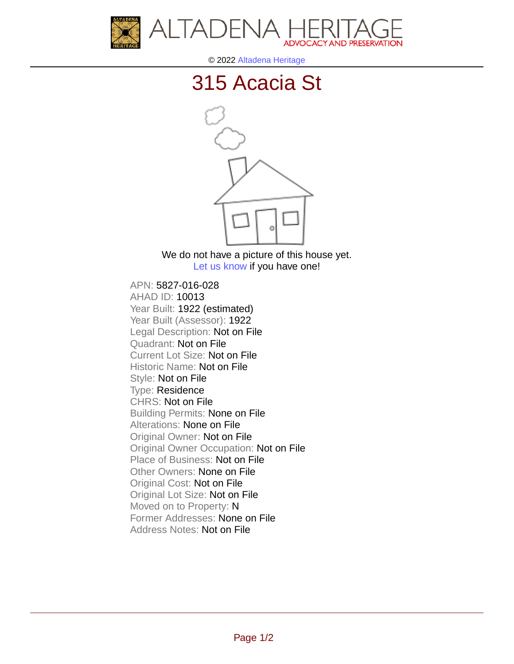



© 2022 [Altadena Heritage](http://altadenaheritage.org/)

## [315 Acacia St](ahad.altadenaheritagepdb.org/properties/10013)



We do not have a picture of this house yet. [Let us know](http://altadenaheritage.org/contact-us/) if you have one!

APN: 5827-016-028 [AHAD ID: 10013](ahad.altadenaheritagepdb.org/properties/10013) Year Built: 1922 (estimated) Year Built (Assessor): 1922 Legal Description: Not on File Quadrant: Not on File Current Lot Size: Not on File Historic Name: Not on File Style: Not on File Type: Residence CHRS: Not on File Building Permits: None on File Alterations: None on File Original Owner: Not on File Original Owner Occupation: Not on File Place of Business: Not on File Other Owners: None on File Original Cost: Not on File Original Lot Size: Not on File Moved on to Property: N Former Addresses: None on File Address Notes: Not on File